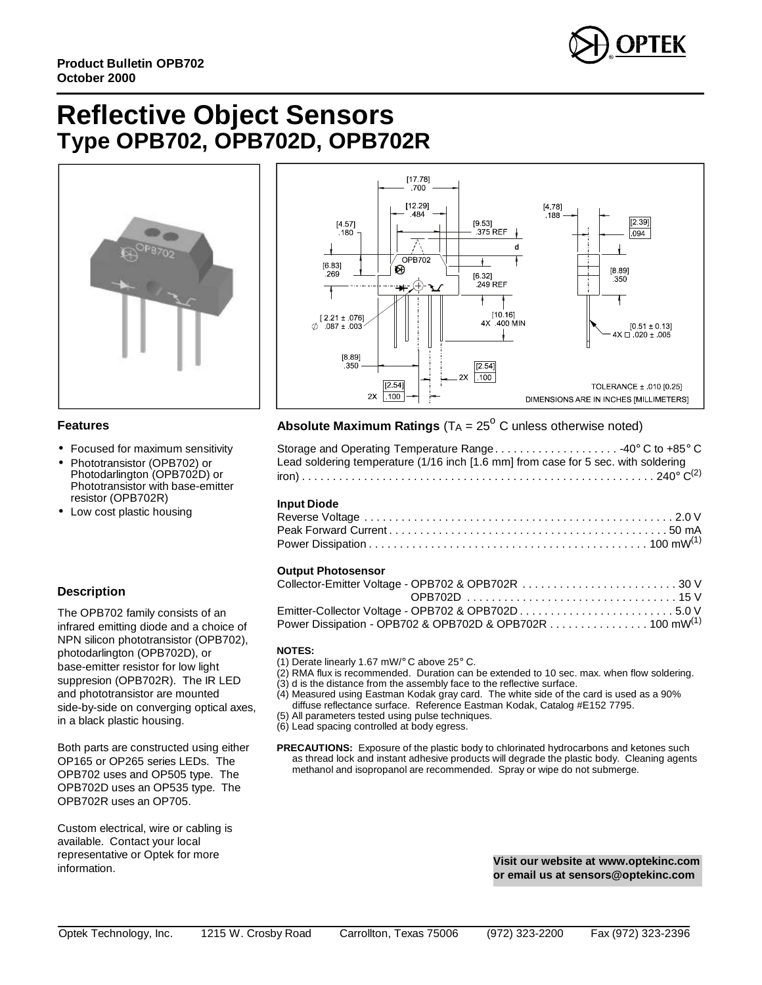

### **Reflective Object Sensors** Type OPB702, OPB702D, OPB702R





#### **Features**

- Focused for maximum sensitivity
- Phototransistor (OPB702) or Photodarlington (OPB702D) or Phototransistor with base-emitter resistor (OPB702R)
- Low cost plastic housing

#### **Description**

The OPB702 family consists of an infrared emitting diode and a choice of NPN silicon phototransistor (OPB702), photodarlington (OPB702D), or base-emitter resistor for low light suppresion (OPB702R). The IR LED and phototransistor are mounted side-by-side on converging optical axes, in a black plastic housing.

Both parts are constructed using either OP165 or OP265 series LEDs. The OPB702 uses and OP505 type. The OPB702D uses an OP535 type. The OPB702R uses an OP705.

Custom electrical, wire or cabling is available. Contact your local representative or Optek for more information.

### **Absolute Maximum Ratings** ( $T_A = 25^\circ$  C unless otherwise noted)

| Storage and Operating Temperature Range40° C to +85° C                             |  |
|------------------------------------------------------------------------------------|--|
| Lead soldering temperature (1/16 inch [1.6 mm] from case for 5 sec. with soldering |  |
|                                                                                    |  |

#### Input Diode

| put <b>p</b> .vuv |  |
|-------------------|--|
|                   |  |
|                   |  |
|                   |  |

#### **Output Photosensor**

| Collector-Emitter Voltage - OPB702 & OPB702R 30 V        |  |
|----------------------------------------------------------|--|
|                                                          |  |
|                                                          |  |
| Power Dissipation - OPB702 & OPB702D & OPB702R 100 mW(1) |  |

#### **NOTES:**

- (1) Derate linearly 1.67 mW/° C above 25° C.
- (2) RMA flux is recommended. Duration can be extended to 10 sec. max. when flow soldering.
- $(3)$  d is the distance from the assembly face to the reflective surface.
- $(4)$ Measured using Eastman Kodak gray card. The white side of the card is used as a 90% diffuse reflectance surface. Reference Eastman Kodak, Catalog #E152 7795.
- (5) All parameters tested using pulse techniques.
- (6) Lead spacing controlled at body egress.
- PRECAUTIONS: Exposure of the plastic body to chlorinated hydrocarbons and ketones such as thread lock and instant adhesive products will degrade the plastic body. Cleaning agents methanol and isopropanol are recommended. Spray or wipe do not submerge.

Visit our website at www.optekinc.com or email us at sensors@optekinc.com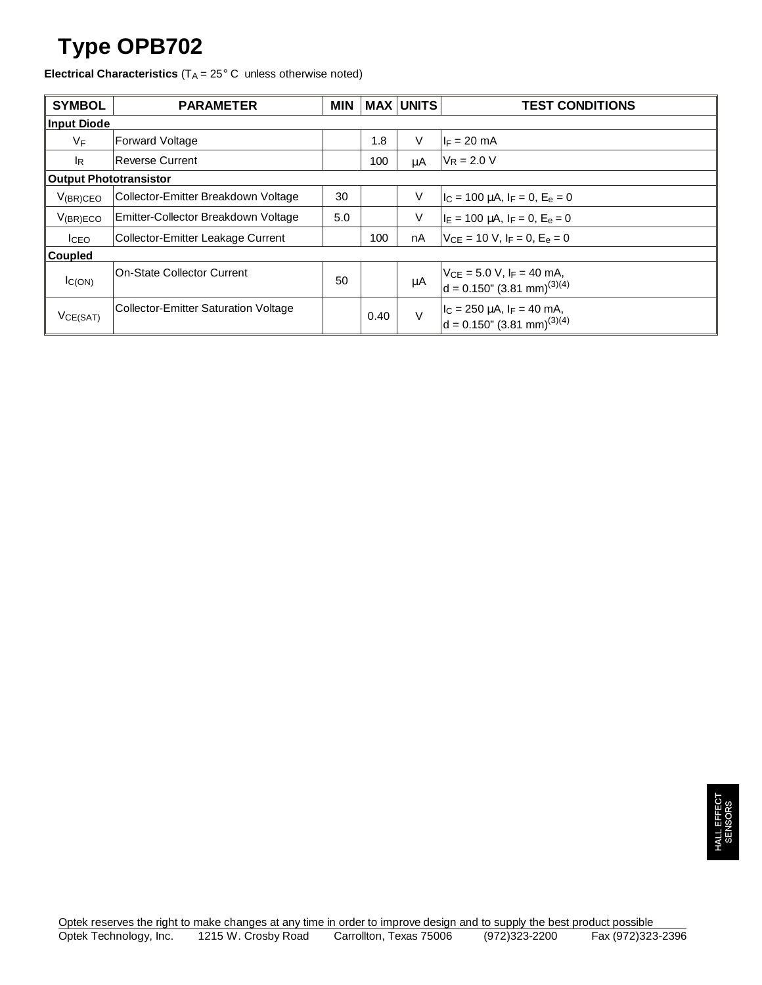## **Type OPB702**

**Electrical Characteristics** ( $T_A = 25^\circ$  C unless otherwise noted)

| <b>SYMBOL</b>                 | <b>PARAMETER</b>                            | <b>MIN</b> |      | <b>MAX UNITS</b> | <b>TEST CONDITIONS</b>                                                              |  |
|-------------------------------|---------------------------------------------|------------|------|------------------|-------------------------------------------------------------------------------------|--|
| <b>Input Diode</b>            |                                             |            |      |                  |                                                                                     |  |
| VF                            | <b>Forward Voltage</b>                      |            | 1.8  | V                | $I_F = 20$ mA                                                                       |  |
| lR.                           | <b>Reverse Current</b>                      |            | 100  | μA               | $V_R = 2.0 V$                                                                       |  |
| <b>Output Phototransistor</b> |                                             |            |      |                  |                                                                                     |  |
| $V_{(BR)CEO}$                 | Collector-Emitter Breakdown Voltage         | 30         |      | $\vee$           | $ I_C = 100 \mu A, I_F = 0, E_e = 0$                                                |  |
| $V_{(BR)ECO}$                 | Emitter-Collector Breakdown Voltage         | 5.0        |      | V                | $I_E = 100 \mu A$ , $I_F = 0$ , $E_e = 0$                                           |  |
| I <sub>CEO</sub>              | Collector-Emitter Leakage Current           |            | 100  | nA               | $V_{CF}$ = 10 V, I <sub>F</sub> = 0, E <sub>e</sub> = 0                             |  |
| Coupled                       |                                             |            |      |                  |                                                                                     |  |
| IC(ON)                        | <b>On-State Collector Current</b>           | 50         |      | $\mu$ A          | $V_{CE} = 5.0 V, I_F = 40 mA,$<br>$d = 0.150$ " (3.81 mm) <sup>(3)(4)</sup>         |  |
| VCE(SAT)                      | <b>Collector-Emitter Saturation Voltage</b> |            | 0.40 | $\vee$           | $ I_C = 250 \mu A$ , $ F = 40 \mu A$ ,<br>$d = 0.150$ " (3.81 mm) <sup>(3)(4)</sup> |  |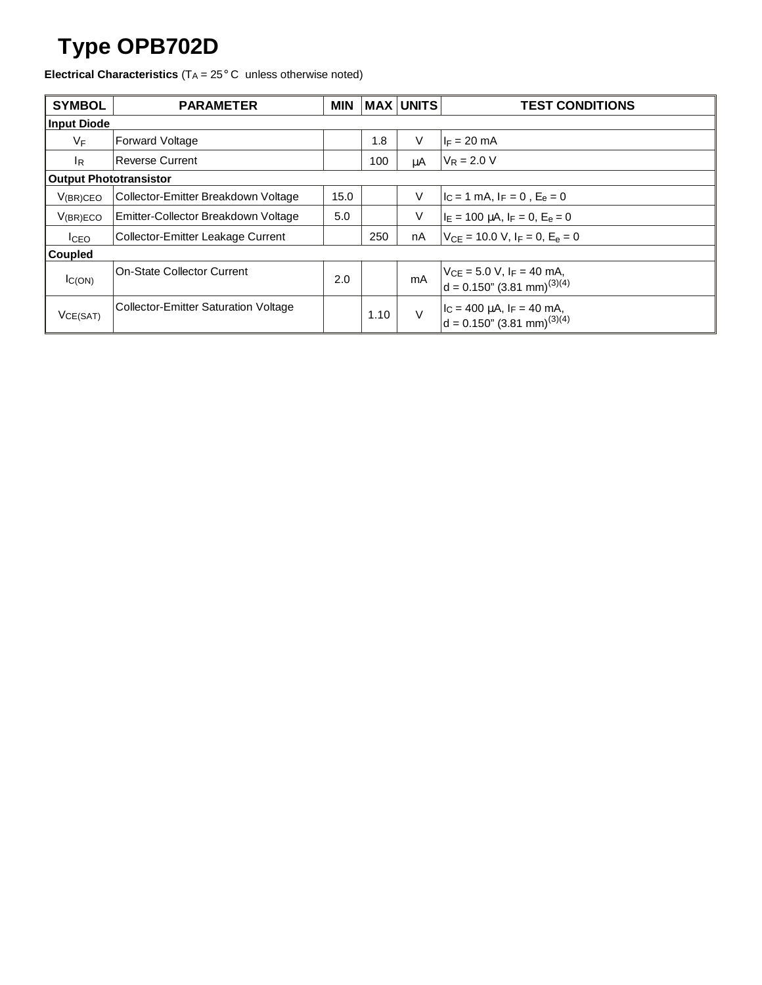## **Type OPB702D**

**Electrical Characteristics** (T<sub>A</sub> = 25° C unless otherwise noted)

| <b>SYMBOL</b>                 | <b>PARAMETER</b>                            | <b>MIN</b> | <b>MAX</b> | <b>UNITS</b> | <b>TEST CONDITIONS</b>                                                              |  |
|-------------------------------|---------------------------------------------|------------|------------|--------------|-------------------------------------------------------------------------------------|--|
| <b>Input Diode</b>            |                                             |            |            |              |                                                                                     |  |
| VF                            | <b>Forward Voltage</b>                      |            | 1.8        | $\vee$       | $I_F = 20$ mA                                                                       |  |
| IR.                           | <b>Reverse Current</b>                      |            | 100        | μA           | $V_R = 2.0 V$                                                                       |  |
| <b>Output Phototransistor</b> |                                             |            |            |              |                                                                                     |  |
| $V_{(BR)CEO}$                 | Collector-Emitter Breakdown Voltage         | 15.0       |            | V            | $I_C = 1$ mA, $I_F = 0$ , $E_e = 0$                                                 |  |
| V(BR)ECO                      | Emitter-Collector Breakdown Voltage         | 5.0        |            | V            | $I_E = 100 \mu A$ , $I_F = 0$ , $E_e = 0$                                           |  |
| lcEO                          | Collector-Emitter Leakage Current           |            | 250        | nA           | $V_{CF}$ = 10.0 V, I <sub>F</sub> = 0, E <sub>e</sub> = 0                           |  |
| <b>Coupled</b>                |                                             |            |            |              |                                                                                     |  |
| $I_{C(ON)}$                   | <b>On-State Collector Current</b>           | 2.0        |            | mA           | $V_{CE} = 5.0 V, I_F = 40 mA,$<br>$d = 0.150$ " (3.81 mm) <sup>(3)(4)</sup>         |  |
| VCE(SAT)                      | <b>Collector-Emitter Saturation Voltage</b> |            | 1.10       | $\vee$       | $I_C = 400 \mu A$ , $I_F = 40 \mu A$ ,<br>$d = 0.150$ " (3.81 mm) <sup>(3)(4)</sup> |  |